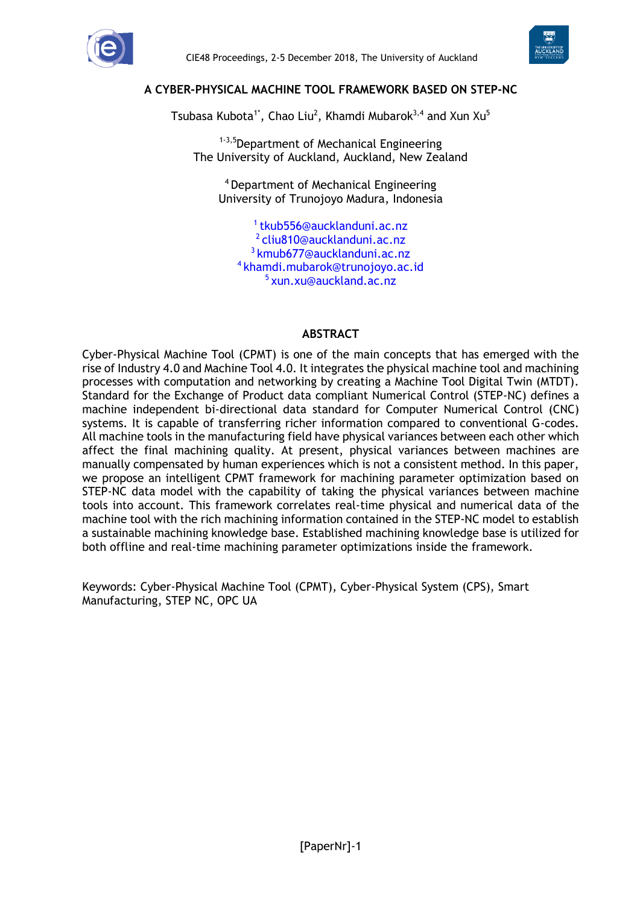



#### **A CYBER-PHYSICAL MACHINE TOOL FRAMEWORK BASED ON STEP-NC**

Tsubasa Kubota $^{1*}$ , Chao Liu $^2$ , Khamdi Mubarok $^{3,4}$  and Xun Xu $^5$ 

1-3,5Department of Mechanical Engineering The University of Auckland, Auckland, New Zealand

<sup>4</sup>Department of Mechanical Engineering University of Trunojoyo Madura, Indonesia

<sup>1</sup>tkub556@aucklanduni.ac.nz cliu810@aucklanduni.ac.nz [kmub677@aucklanduni.ac.nz](mailto:kmub677@aucklanduni.ac.nz) khamdi.mubarok@trunojoyo.ac.id xun.xu@auckland.ac.nz

#### **ABSTRACT**

Cyber-Physical Machine Tool (CPMT) is one of the main concepts that has emerged with the rise of Industry 4.0 and Machine Tool 4.0. It integrates the physical machine tool and machining processes with computation and networking by creating a Machine Tool Digital Twin (MTDT). Standard for the Exchange of Product data compliant Numerical Control (STEP-NC) defines a machine independent bi-directional data standard for Computer Numerical Control (CNC) systems. It is capable of transferring richer information compared to conventional G-codes. All machine tools in the manufacturing field have physical variances between each other which affect the final machining quality. At present, physical variances between machines are manually compensated by human experiences which is not a consistent method. In this paper, we propose an intelligent CPMT framework for machining parameter optimization based on STEP-NC data model with the capability of taking the physical variances between machine tools into account. This framework correlates real-time physical and numerical data of the machine tool with the rich machining information contained in the STEP-NC model to establish a sustainable machining knowledge base. Established machining knowledge base is utilized for both offline and real-time machining parameter optimizations inside the framework.

Keywords: Cyber-Physical Machine Tool (CPMT), Cyber-Physical System (CPS), Smart Manufacturing, STEP NC, OPC UA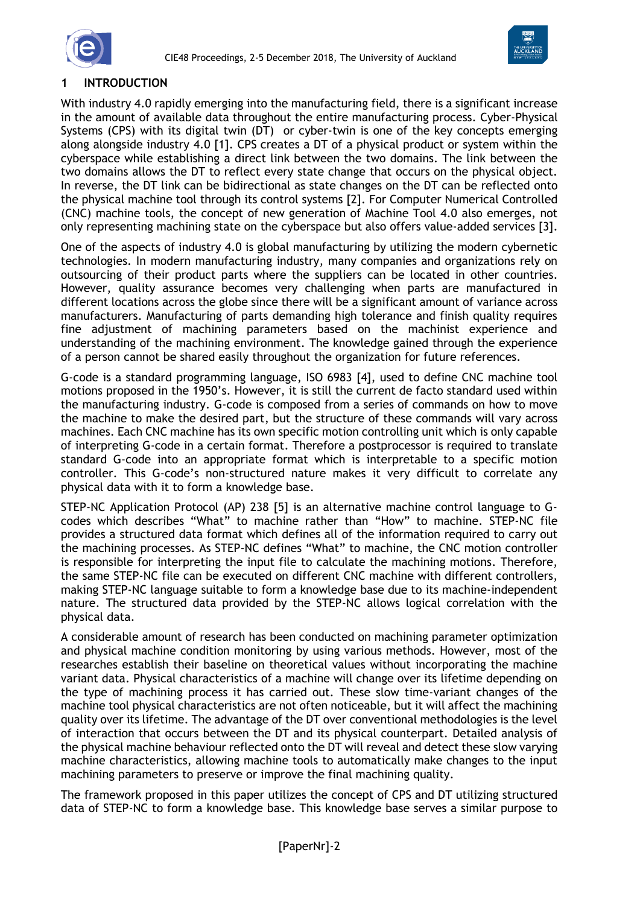



# **1 INTRODUCTION**

With industry 4.0 rapidly emerging into the manufacturing field, there is a significant increase in the amount of available data throughout the entire manufacturing process. Cyber-Physical Systems (CPS) with its digital twin (DT) or cyber-twin is one of the key concepts emerging along alongside industry 4.0 [1]. CPS creates a DT of a physical product or system within the cyberspace while establishing a direct link between the two domains. The link between the two domains allows the DT to reflect every state change that occurs on the physical object. In reverse, the DT link can be bidirectional as state changes on the DT can be reflected onto the physical machine tool through its control systems [2]. For Computer Numerical Controlled (CNC) machine tools, the concept of new generation of Machine Tool 4.0 also emerges, not only representing machining state on the cyberspace but also offers value-added services [3].

One of the aspects of industry 4.0 is global manufacturing by utilizing the modern cybernetic technologies. In modern manufacturing industry, many companies and organizations rely on outsourcing of their product parts where the suppliers can be located in other countries. However, quality assurance becomes very challenging when parts are manufactured in different locations across the globe since there will be a significant amount of variance across manufacturers. Manufacturing of parts demanding high tolerance and finish quality requires fine adjustment of machining parameters based on the machinist experience and understanding of the machining environment. The knowledge gained through the experience of a person cannot be shared easily throughout the organization for future references.

G-code is a standard programming language, ISO 6983 [4], used to define CNC machine tool motions proposed in the 1950's. However, it is still the current de facto standard used within the manufacturing industry. G-code is composed from a series of commands on how to move the machine to make the desired part, but the structure of these commands will vary across machines. Each CNC machine has its own specific motion controlling unit which is only capable of interpreting G-code in a certain format. Therefore a postprocessor is required to translate standard G-code into an appropriate format which is interpretable to a specific motion controller. This G-code's non-structured nature makes it very difficult to correlate any physical data with it to form a knowledge base.

STEP-NC Application Protocol (AP) 238 [5] is an alternative machine control language to Gcodes which describes "What" to machine rather than "How" to machine. STEP-NC file provides a structured data format which defines all of the information required to carry out the machining processes. As STEP-NC defines "What" to machine, the CNC motion controller is responsible for interpreting the input file to calculate the machining motions. Therefore, the same STEP-NC file can be executed on different CNC machine with different controllers, making STEP-NC language suitable to form a knowledge base due to its machine-independent nature. The structured data provided by the STEP-NC allows logical correlation with the physical data.

A considerable amount of research has been conducted on machining parameter optimization and physical machine condition monitoring by using various methods. However, most of the researches establish their baseline on theoretical values without incorporating the machine variant data. Physical characteristics of a machine will change over its lifetime depending on the type of machining process it has carried out. These slow time-variant changes of the machine tool physical characteristics are not often noticeable, but it will affect the machining quality over its lifetime. The advantage of the DT over conventional methodologies is the level of interaction that occurs between the DT and its physical counterpart. Detailed analysis of the physical machine behaviour reflected onto the DT will reveal and detect these slow varying machine characteristics, allowing machine tools to automatically make changes to the input machining parameters to preserve or improve the final machining quality.

The framework proposed in this paper utilizes the concept of CPS and DT utilizing structured data of STEP-NC to form a knowledge base. This knowledge base serves a similar purpose to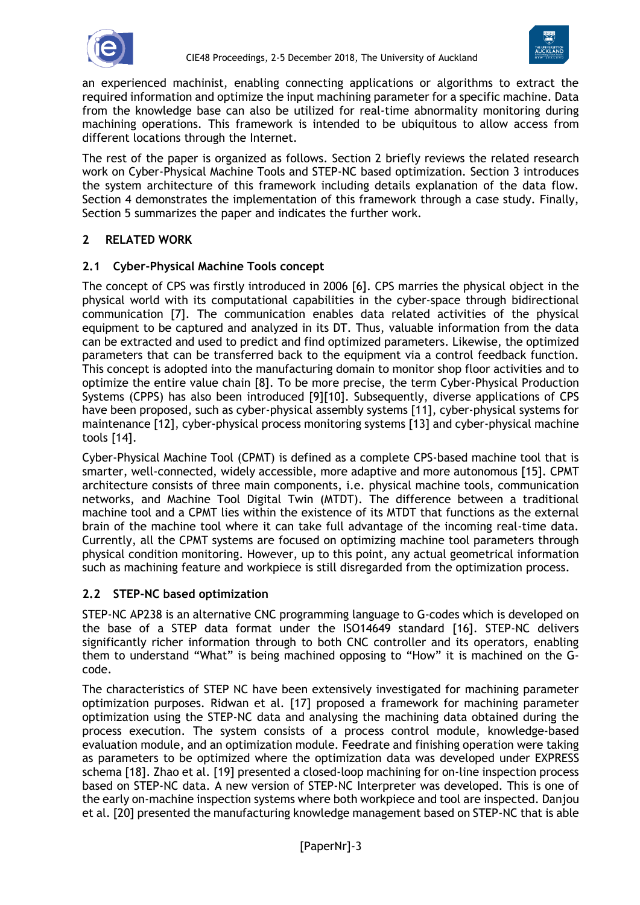



an experienced machinist, enabling connecting applications or algorithms to extract the required information and optimize the input machining parameter for a specific machine. Data from the knowledge base can also be utilized for real-time abnormality monitoring during machining operations. This framework is intended to be ubiquitous to allow access from different locations through the Internet.

The rest of the paper is organized as follows. Section 2 briefly reviews the related research work on Cyber-Physical Machine Tools and STEP-NC based optimization. Section 3 introduces the system architecture of this framework including details explanation of the data flow. Section 4 demonstrates the implementation of this framework through a case study. Finally, Section 5 summarizes the paper and indicates the further work.

# **2 RELATED WORK**

### **2.1 Cyber-Physical Machine Tools concept**

The concept of CPS was firstly introduced in 2006 [6]. CPS marries the physical object in the physical world with its computational capabilities in the cyber-space through bidirectional communication [7]. The communication enables data related activities of the physical equipment to be captured and analyzed in its DT. Thus, valuable information from the data can be extracted and used to predict and find optimized parameters. Likewise, the optimized parameters that can be transferred back to the equipment via a control feedback function. This concept is adopted into the manufacturing domain to monitor shop floor activities and to optimize the entire value chain [8]. To be more precise, the term Cyber-Physical Production Systems (CPPS) has also been introduced [9][10]. Subsequently, diverse applications of CPS have been proposed, such as cyber-physical assembly systems [11], cyber-physical systems for maintenance [12], cyber-physical process monitoring systems [13] and cyber-physical machine tools [14].

Cyber-Physical Machine Tool (CPMT) is defined as a complete CPS-based machine tool that is smarter, well-connected, widely accessible, more adaptive and more autonomous [15]. CPMT architecture consists of three main components, i.e. physical machine tools, communication networks, and Machine Tool Digital Twin (MTDT). The difference between a traditional machine tool and a CPMT lies within the existence of its MTDT that functions as the external brain of the machine tool where it can take full advantage of the incoming real-time data. Currently, all the CPMT systems are focused on optimizing machine tool parameters through physical condition monitoring. However, up to this point, any actual geometrical information such as machining feature and workpiece is still disregarded from the optimization process.

### **2.2 STEP-NC based optimization**

STEP-NC AP238 is an alternative CNC programming language to G-codes which is developed on the base of a STEP data format under the ISO14649 standard [16]. STEP-NC delivers significantly richer information through to both CNC controller and its operators, enabling them to understand "What" is being machined opposing to "How" it is machined on the Gcode.

The characteristics of STEP NC have been extensively investigated for machining parameter optimization purposes. Ridwan et al. [17] proposed a framework for machining parameter optimization using the STEP-NC data and analysing the machining data obtained during the process execution. The system consists of a process control module, knowledge-based evaluation module, and an optimization module. Feedrate and finishing operation were taking as parameters to be optimized where the optimization data was developed under EXPRESS schema [18]. Zhao et al. [19] presented a closed-loop machining for on-line inspection process based on STEP-NC data. A new version of STEP-NC Interpreter was developed. This is one of the early on-machine inspection systems where both workpiece and tool are inspected. Danjou et al. [20] presented the manufacturing knowledge management based on STEP-NC that is able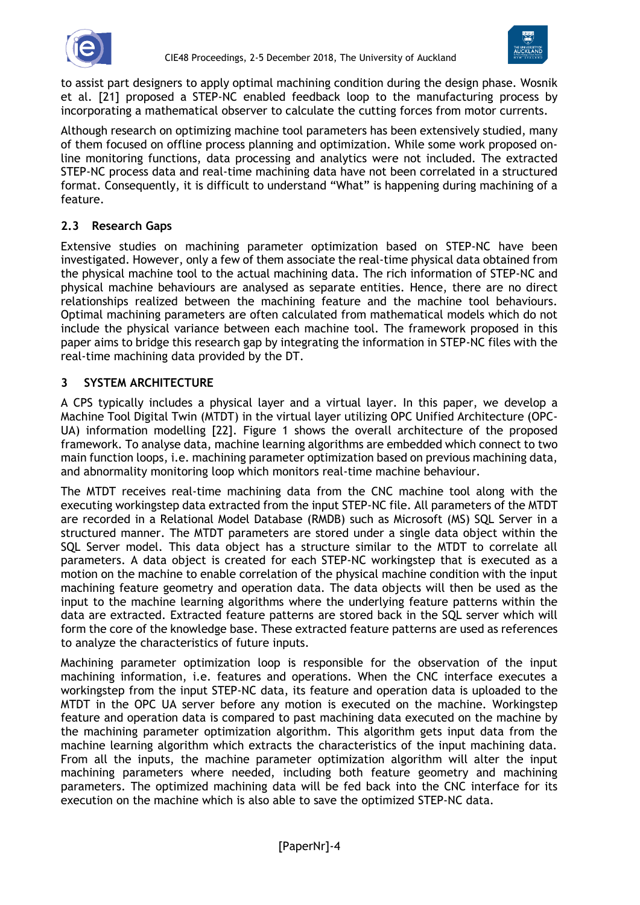



to assist part designers to apply optimal machining condition during the design phase. Wosnik et al. [21] proposed a STEP-NC enabled feedback loop to the manufacturing process by incorporating a mathematical observer to calculate the cutting forces from motor currents.

Although research on optimizing machine tool parameters has been extensively studied, many of them focused on offline process planning and optimization. While some work proposed online monitoring functions, data processing and analytics were not included. The extracted STEP-NC process data and real-time machining data have not been correlated in a structured format. Consequently, it is difficult to understand "What" is happening during machining of a feature.

# **2.3 Research Gaps**

Extensive studies on machining parameter optimization based on STEP-NC have been investigated. However, only a few of them associate the real-time physical data obtained from the physical machine tool to the actual machining data. The rich information of STEP-NC and physical machine behaviours are analysed as separate entities. Hence, there are no direct relationships realized between the machining feature and the machine tool behaviours. Optimal machining parameters are often calculated from mathematical models which do not include the physical variance between each machine tool. The framework proposed in this paper aims to bridge this research gap by integrating the information in STEP-NC files with the real-time machining data provided by the DT.

### **3 SYSTEM ARCHITECTURE**

A CPS typically includes a physical layer and a virtual layer. In this paper, we develop a Machine Tool Digital Twin (MTDT) in the virtual layer utilizing OPC Unified Architecture (OPC-UA) information modelling [22]. Figure 1 shows the overall architecture of the proposed framework. To analyse data, machine learning algorithms are embedded which connect to two main function loops, i.e. machining parameter optimization based on previous machining data, and abnormality monitoring loop which monitors real-time machine behaviour.

The MTDT receives real-time machining data from the CNC machine tool along with the executing workingstep data extracted from the input STEP-NC file. All parameters of the MTDT are recorded in a Relational Model Database (RMDB) such as Microsoft (MS) SQL Server in a structured manner. The MTDT parameters are stored under a single data object within the SQL Server model. This data object has a structure similar to the MTDT to correlate all parameters. A data object is created for each STEP-NC workingstep that is executed as a motion on the machine to enable correlation of the physical machine condition with the input machining feature geometry and operation data. The data objects will then be used as the input to the machine learning algorithms where the underlying feature patterns within the data are extracted. Extracted feature patterns are stored back in the SQL server which will form the core of the knowledge base. These extracted feature patterns are used as references to analyze the characteristics of future inputs.

Machining parameter optimization loop is responsible for the observation of the input machining information, i.e. features and operations. When the CNC interface executes a workingstep from the input STEP-NC data, its feature and operation data is uploaded to the MTDT in the OPC UA server before any motion is executed on the machine. Workingstep feature and operation data is compared to past machining data executed on the machine by the machining parameter optimization algorithm. This algorithm gets input data from the machine learning algorithm which extracts the characteristics of the input machining data. From all the inputs, the machine parameter optimization algorithm will alter the input machining parameters where needed, including both feature geometry and machining parameters. The optimized machining data will be fed back into the CNC interface for its execution on the machine which is also able to save the optimized STEP-NC data.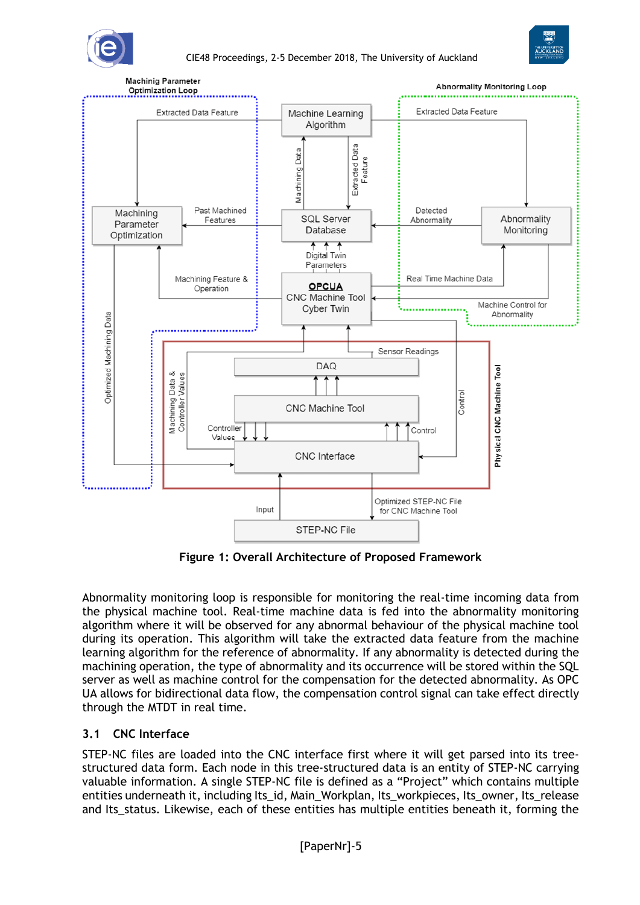





**Figure 1: Overall Architecture of Proposed Framework**

Abnormality monitoring loop is responsible for monitoring the real-time incoming data from the physical machine tool. Real-time machine data is fed into the abnormality monitoring algorithm where it will be observed for any abnormal behaviour of the physical machine tool during its operation. This algorithm will take the extracted data feature from the machine learning algorithm for the reference of abnormality. If any abnormality is detected during the machining operation, the type of abnormality and its occurrence will be stored within the SQL server as well as machine control for the compensation for the detected abnormality. As OPC UA allows for bidirectional data flow, the compensation control signal can take effect directly through the MTDT in real time.

# **3.1 CNC Interface**

STEP-NC files are loaded into the CNC interface first where it will get parsed into its treestructured data form. Each node in this tree-structured data is an entity of STEP-NC carrying valuable information. A single STEP-NC file is defined as a "Project" which contains multiple entities underneath it, including Its id, Main\_Workplan, Its\_workpieces, Its\_owner, Its\_release and Its\_status. Likewise, each of these entities has multiple entities beneath it, forming the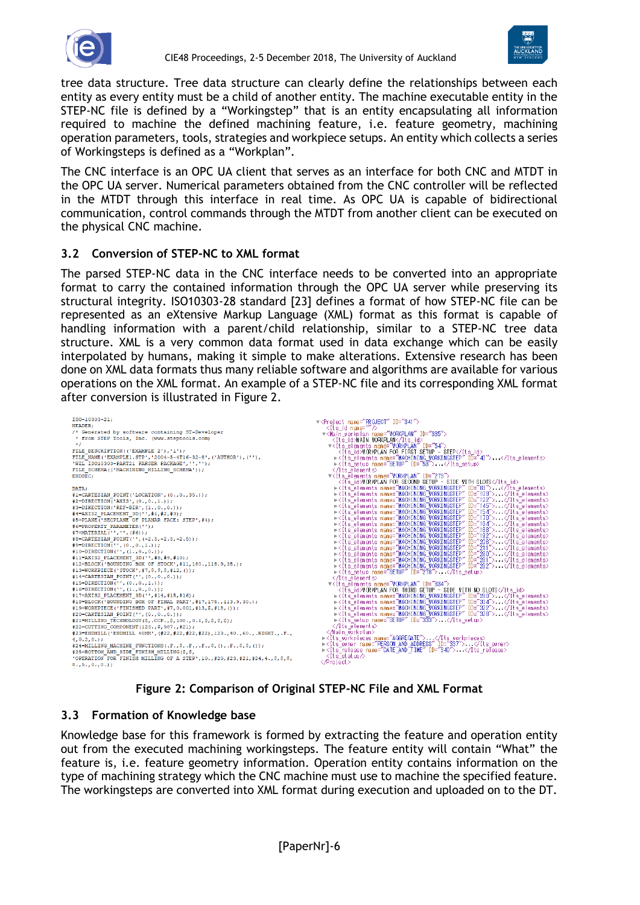



tree data structure. Tree data structure can clearly define the relationships between each entity as every entity must be a child of another entity. The machine executable entity in the STEP-NC file is defined by a "Workingstep" that is an entity encapsulating all information required to machine the defined machining feature, i.e. feature geometry, machining operation parameters, tools, strategies and workpiece setups. An entity which collects a series of Workingsteps is defined as a "Workplan".

The CNC interface is an OPC UA client that serves as an interface for both CNC and MTDT in the OPC UA server. Numerical parameters obtained from the CNC controller will be reflected in the MTDT through this interface in real time. As OPC UA is capable of bidirectional communication, control commands through the MTDT from another client can be executed on the physical CNC machine.

### **3.2 Conversion of STEP-NC to XML format**

The parsed STEP-NC data in the CNC interface needs to be converted into an appropriate format to carry the contained information through the OPC UA server while preserving its structural integrity. ISO10303-28 standard [23] defines a format of how STEP-NC file can be represented as an eXtensive Markup Language (XML) format as this format is capable of handling information with a parent/child relationship, similar to a STEP-NC tree data structure. XML is a very common data format used in data exchange which can be easily interpolated by humans, making it simple to make alterations. Extensive research has been done on XML data formats thus many reliable software and algorithms are available for various operations on the XML format. An example of a STEP-NC file and its corresponding XML format after conversion is illustrated in Figure 2.

| FILE SCHEMA ( ('MACHINING MILLING SCHEMA') ) ;<br>≺/Its elements><br>▼ <its elements="" id="279" name="WORKPLAN"><br/>ENDSEC:</its>                                                                                                                                                                                                                                                                                                                                                                                                                                                                                                                                                                                                                                                                                                                                                                                                                                                                                                                                                                                                                                                                                                                                                                                                                                                                                                                                                                                                                                                                                                                                                                                                                                                                                                          | <its_id>WORKPLAN FOR SECOND SETUP - SIDE WITH SLOTS</its_id>                                                                                                                                                                                                                                                                                                                                                                                                                                                                                                                                                                                                                                                                                                                                                                                                                                                                                                                                                                                                                                                                                                                                                                                              |
|----------------------------------------------------------------------------------------------------------------------------------------------------------------------------------------------------------------------------------------------------------------------------------------------------------------------------------------------------------------------------------------------------------------------------------------------------------------------------------------------------------------------------------------------------------------------------------------------------------------------------------------------------------------------------------------------------------------------------------------------------------------------------------------------------------------------------------------------------------------------------------------------------------------------------------------------------------------------------------------------------------------------------------------------------------------------------------------------------------------------------------------------------------------------------------------------------------------------------------------------------------------------------------------------------------------------------------------------------------------------------------------------------------------------------------------------------------------------------------------------------------------------------------------------------------------------------------------------------------------------------------------------------------------------------------------------------------------------------------------------------------------------------------------------------------------------------------------------|-----------------------------------------------------------------------------------------------------------------------------------------------------------------------------------------------------------------------------------------------------------------------------------------------------------------------------------------------------------------------------------------------------------------------------------------------------------------------------------------------------------------------------------------------------------------------------------------------------------------------------------------------------------------------------------------------------------------------------------------------------------------------------------------------------------------------------------------------------------------------------------------------------------------------------------------------------------------------------------------------------------------------------------------------------------------------------------------------------------------------------------------------------------------------------------------------------------------------------------------------------------|
| DATA:<br>#1=CARTESIAN POINT('LOCATION', (0., 0., 35.));<br>#2=DIRECTION('AXIS', (0., 0., 1.));<br>#3=DIRECTION('REF-DIR', (1., 0., 0.));<br>#4=AXIS2 PLACEMENT 3D('', #1, #2, #3);<br>#5=PLANE('SECPLANE OF PLANAR FACE: STEP', #4);<br>#6=PROPERTY PARAMETER('');<br>#7=MATERIAL('','',(#6));<br>#8=CARTESIAN POINT ('', (-2.5, -2.5, -2.5));<br>$#9 = DIRECTION('', (0., 0., 1.));$<br>#10=DIRECTION('', $(1., 0., 0.)$ );<br>#11=AXIS2 PLACEMENT 3D('', #8, #9, #10);<br>#12=BLOCK('BOUNDING BOX OF STOCK', #11, 180., 118.9, 35.);<br>#13=WORKPIECE('STOCK', #7, \$, \$, \$, #12, ());<br>► <its id="278" name="SETUP" setup=""> - </its><br>#14=CARTESIAN POINT('',(0.,0.,0.));<br>$\langle$ /Its elements><br>#15=DIRECTION('',(0.,0.,1.));<br>▼ <its elements="" id="334" name="WORKPLAN"><br/>#16=DIRECTION('', <math>(1., 0., 0.)</math>);<br/>#17=AXIS2 PLACEMENT 3D('', #14, #15, #16);<br/>#18=BLOCK('BOUNDING BOX OF FINAL PART', #17, 175., 113.9, 30.);<br/>#19=WORKPIECE('FINISHED PART', #7,0.001, #13, \$, #18, ());<br/>#20=CARTESIAN POINT('',(0.,0.,0.));<br/>►<its id="333" name="SETUP" setup=""> . </its><br/>#21=MILLING TECHNOLOGY(\$,.CCP.,\$,100.,0.1,\$,\$,\$,\$);<br/>≺/Its elements&gt;<br/>#22=CUTTING COMPONENT (123., \$, 987., #21);<br/>≺/Main workplan&gt;<br/>#23=ENDMILL('ENDMILL 40MM', (#22,#22,#22,#22), 123., 40., 60., .RIGHT., .F.,<br/>▶<its_workpieces_name="aggregate">. <br/><math>4, 0.2, 0.</math>;<br/>#24=MILLING MACHINE FUNCTIONS(.F., \$,.F., F., \$, (),.F., \$, \$, ());<br/>▶<its_release_name="date_and_time" id="340"><br/>#25=BOTTOM AND SIDE FINISH MILLING (\$, \$,<br/>≺Its status∧<br/>'OPERATION FOR FINISH MILLING OF A STEP', 10., #20, #23, #21, #24, 4., \$, \$, \$,<br/><br/>8.15.10.10.1</its_release_name="date_and_time"></its_workpieces_name="aggregate"></its> | State dements name: MACHINING WORKINGSTEP" ID="83"> ► <its_elements id="83" machining="" name:="" workingstep"=""> ►<its_elements "machining="" id="139" name:="" workingstep"=""></its_elements><br/> ►<its_<br><b>FIGURE 1918</b> The MACHINING WORKINGSTEP" ID="154"&gt;VIts_elements&gt;<br/> <math>\triangleright</math> <its_elements id="154" name="MACHINING" workingstep"="">VIts_elements<br/> <math>\triangleright</math> <its_elements id="184" name="MACHINING" workingstep"="">VIts_eleme<br/>→<its_elements id="260" name="MACHINING_WORKINGSTEP"></its_elements><br/>→<its_elements id="261" name="MACHINING_WORKINGSTEP"></its_elements><br/>▶くIts elements name="MACHINING WORKINGSTEP" ID="262"&gt; く/Its elements&gt;<br/><its id="">WORKPLAN FOR THIRD SETUP - SIDE WITH NO SLOTS</its><br/>▶<its_elements id="280" name="MACHINING WORKINGSTEP"> · </its_elements><br/>→ <the_elements id="304" name="MACHINING"  0rkingstep"=""><br/>→ <tts_elements id="302" name="MACHINING"  0rkingstep"=""></tts_elements><br/>→ <tts_elements id="322" name="MACHINING"  0rkingstep"=""></tts_elements><br/>→ <its id="337" name="PERSON AND ADDRESS" owner="">. </its></the_elements></its_elements></its_elements></its_<br></its_elements> |

# **Figure 2: Comparison of Original STEP-NC File and XML Format**

### **3.3 Formation of Knowledge base**

Knowledge base for this framework is formed by extracting the feature and operation entity out from the executed machining workingsteps. The feature entity will contain "What" the feature is, i.e. feature geometry information. Operation entity contains information on the type of machining strategy which the CNC machine must use to machine the specified feature. The workingsteps are converted into XML format during execution and uploaded on to the DT.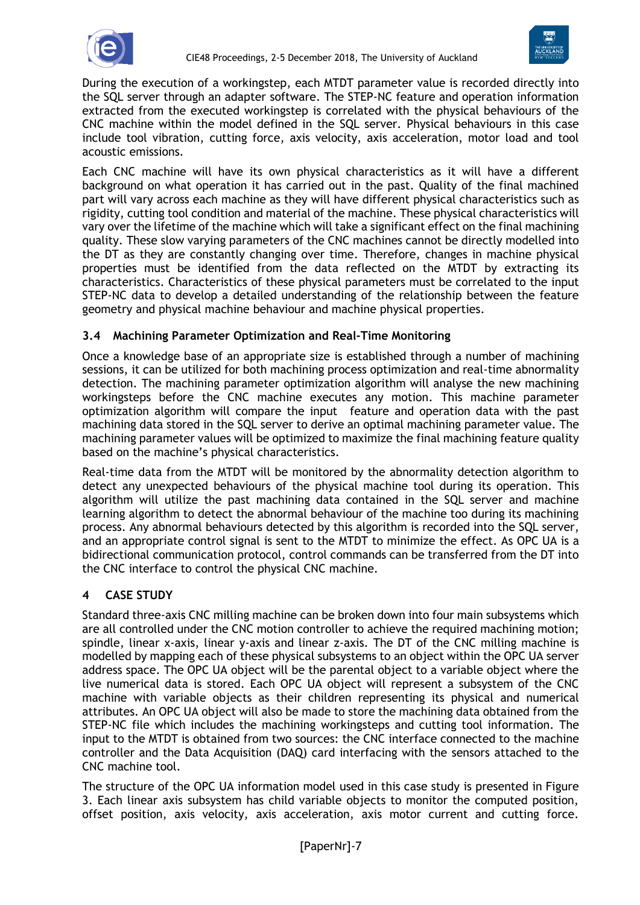



During the execution of a workingstep, each MTDT parameter value is recorded directly into the SQL server through an adapter software. The STEP-NC feature and operation information extracted from the executed workingstep is correlated with the physical behaviours of the CNC machine within the model defined in the SQL server. Physical behaviours in this case include tool vibration, cutting force, axis velocity, axis acceleration, motor load and tool acoustic emissions.

Each CNC machine will have its own physical characteristics as it will have a different background on what operation it has carried out in the past. Quality of the final machined part will vary across each machine as they will have different physical characteristics such as rigidity, cutting tool condition and material of the machine. These physical characteristics will vary over the lifetime of the machine which will take a significant effect on the final machining quality. These slow varying parameters of the CNC machines cannot be directly modelled into the DT as they are constantly changing over time. Therefore, changes in machine physical properties must be identified from the data reflected on the MTDT by extracting its characteristics. Characteristics of these physical parameters must be correlated to the input STEP-NC data to develop a detailed understanding of the relationship between the feature geometry and physical machine behaviour and machine physical properties.

# **3.4 Machining Parameter Optimization and Real-Time Monitoring**

Once a knowledge base of an appropriate size is established through a number of machining sessions, it can be utilized for both machining process optimization and real-time abnormality detection. The machining parameter optimization algorithm will analyse the new machining workingsteps before the CNC machine executes any motion. This machine parameter optimization algorithm will compare the input feature and operation data with the past machining data stored in the SQL server to derive an optimal machining parameter value. The machining parameter values will be optimized to maximize the final machining feature quality based on the machine's physical characteristics.

Real-time data from the MTDT will be monitored by the abnormality detection algorithm to detect any unexpected behaviours of the physical machine tool during its operation. This algorithm will utilize the past machining data contained in the SQL server and machine learning algorithm to detect the abnormal behaviour of the machine too during its machining process. Any abnormal behaviours detected by this algorithm is recorded into the SQL server, and an appropriate control signal is sent to the MTDT to minimize the effect. As OPC UA is a bidirectional communication protocol, control commands can be transferred from the DT into the CNC interface to control the physical CNC machine.

### **4 CASE STUDY**

Standard three-axis CNC milling machine can be broken down into four main subsystems which are all controlled under the CNC motion controller to achieve the required machining motion; spindle, linear x-axis, linear y-axis and linear z-axis. The DT of the CNC milling machine is modelled by mapping each of these physical subsystems to an object within the OPC UA server address space. The OPC UA object will be the parental object to a variable object where the live numerical data is stored. Each OPC UA object will represent a subsystem of the CNC machine with variable objects as their children representing its physical and numerical attributes. An OPC UA object will also be made to store the machining data obtained from the STEP-NC file which includes the machining workingsteps and cutting tool information. The input to the MTDT is obtained from two sources: the CNC interface connected to the machine controller and the Data Acquisition (DAQ) card interfacing with the sensors attached to the CNC machine tool.

The structure of the OPC UA information model used in this case study is presented in Figure 3. Each linear axis subsystem has child variable objects to monitor the computed position, offset position, axis velocity, axis acceleration, axis motor current and cutting force.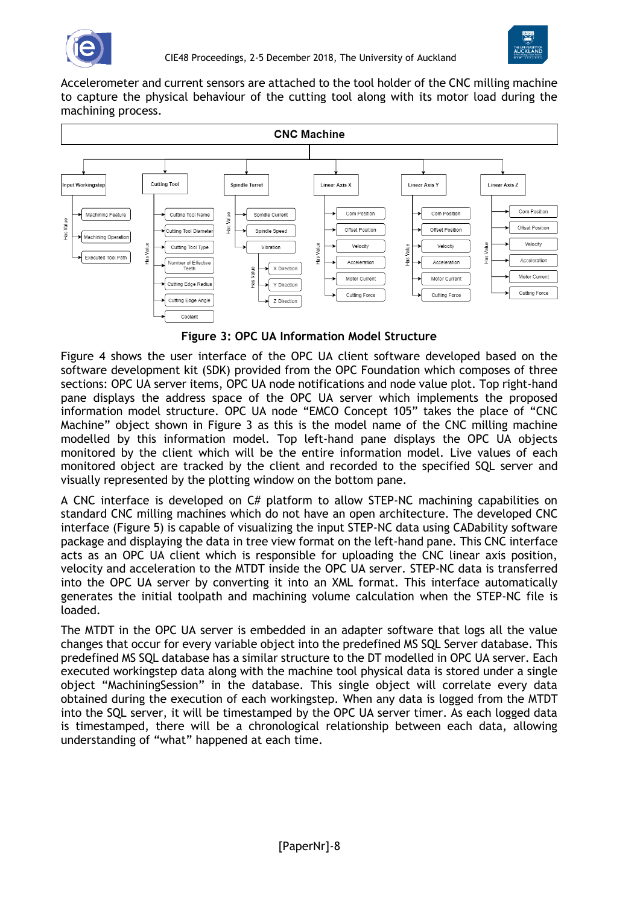



Accelerometer and current sensors are attached to the tool holder of the CNC milling machine to capture the physical behaviour of the cutting tool along with its motor load during the machining process.



**Figure 3: OPC UA Information Model Structure**

Figure 4 shows the user interface of the OPC UA client software developed based on the software development kit (SDK) provided from the OPC Foundation which composes of three sections: OPC UA server items, OPC UA node notifications and node value plot. Top right-hand pane displays the address space of the OPC UA server which implements the proposed information model structure. OPC UA node "EMCO Concept 105" takes the place of "CNC Machine" object shown in Figure 3 as this is the model name of the CNC milling machine modelled by this information model. Top left-hand pane displays the OPC UA objects monitored by the client which will be the entire information model. Live values of each monitored object are tracked by the client and recorded to the specified SQL server and visually represented by the plotting window on the bottom pane.

A CNC interface is developed on C# platform to allow STEP-NC machining capabilities on standard CNC milling machines which do not have an open architecture. The developed CNC interface (Figure 5) is capable of visualizing the input STEP-NC data using CADability software package and displaying the data in tree view format on the left-hand pane. This CNC interface acts as an OPC UA client which is responsible for uploading the CNC linear axis position, velocity and acceleration to the MTDT inside the OPC UA server. STEP-NC data is transferred into the OPC UA server by converting it into an XML format. This interface automatically generates the initial toolpath and machining volume calculation when the STEP-NC file is loaded.

The MTDT in the OPC UA server is embedded in an adapter software that logs all the value changes that occur for every variable object into the predefined MS SQL Server database. This predefined MS SQL database has a similar structure to the DT modelled in OPC UA server. Each executed workingstep data along with the machine tool physical data is stored under a single object "MachiningSession" in the database. This single object will correlate every data obtained during the execution of each workingstep. When any data is logged from the MTDT into the SQL server, it will be timestamped by the OPC UA server timer. As each logged data is timestamped, there will be a chronological relationship between each data, allowing understanding of "what" happened at each time.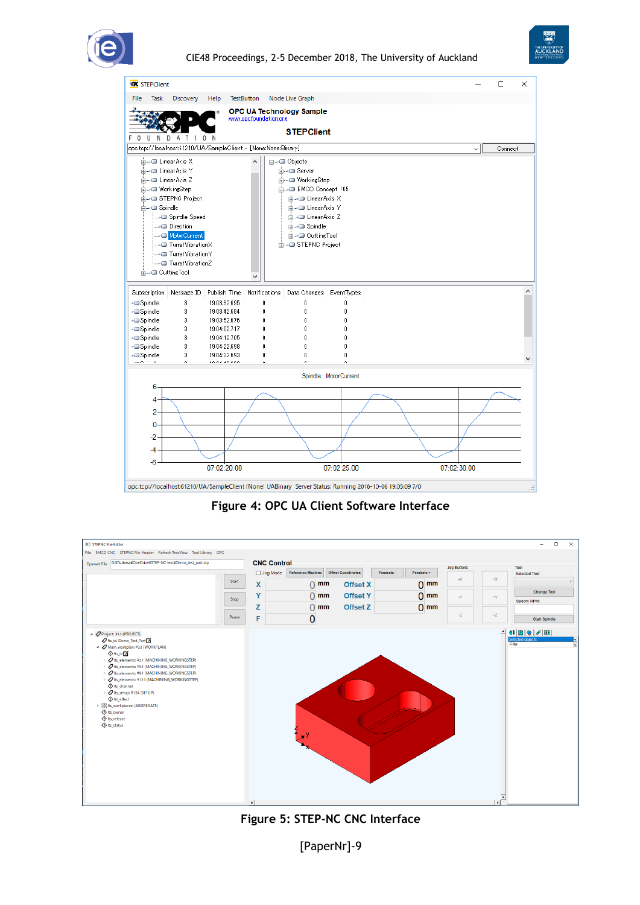



| <b>KK</b> STEPClient                                           |                            |                              |                       |                                                       |                       |                                                                                                          |             |              | $\Box$  | X  |
|----------------------------------------------------------------|----------------------------|------------------------------|-----------------------|-------------------------------------------------------|-----------------------|----------------------------------------------------------------------------------------------------------|-------------|--------------|---------|----|
| File<br>Task                                                   | Discovery                  | Help                         | <b>TestButton</b>     | Node Live Graph                                       |                       |                                                                                                          |             |              |         |    |
|                                                                |                            |                              | www.opcfoundation.org | OPC UA Technology Sample                              |                       |                                                                                                          |             |              |         |    |
|                                                                |                            |                              |                       |                                                       |                       |                                                                                                          |             |              |         |    |
| F<br>$\Omega$<br>N<br>$\mathbf{H}$                             |                            |                              |                       | <b>STEPClient</b>                                     |                       |                                                                                                          |             |              |         |    |
| opc.tcp://localhost.61210/UA/SampleClient - [None:None:Binary] |                            |                              |                       |                                                       |                       |                                                                                                          |             | $\checkmark$ | Connect |    |
| <b>E-D</b> Linear Axis X                                       |                            |                              |                       | <b>⊟---</b> ■ Objects                                 |                       |                                                                                                          |             |              |         |    |
| ட்⊶ <b>⊒</b> Linear Axis Y                                     |                            |                              |                       | ங்⊶⊟ Server                                           |                       |                                                                                                          |             |              |         |    |
| ட்⊶⊐ LinearAxis Z                                              |                            |                              |                       | ட்⊶⊐ WorkingStep                                      |                       |                                                                                                          |             |              |         |    |
| <b>E-D</b> WorkingStep                                         |                            |                              |                       | m-D EMCO Concept 105                                  |                       |                                                                                                          |             |              |         |    |
|                                                                | <b>E</b> —D STEPNC Project |                              |                       | ங்⊶⊟ Linear Axis X                                    |                       |                                                                                                          |             |              |         |    |
| <b>A</b> Spindle                                               |                            |                              |                       | ங்⊸ <b>□</b> LinearAxis Y                             |                       |                                                                                                          |             |              |         |    |
|                                                                | Spindle Speed              |                              |                       | ங்⊶⊟ Linear Axis Z                                    |                       |                                                                                                          |             |              |         |    |
|                                                                | Direction<br>MotorCurrent  |                              |                       | <b>E</b> -D Spindle                                   |                       |                                                                                                          |             |              |         |    |
|                                                                | TurretVibrationX           |                              |                       | <b>E</b> -D Cutting Tool<br><b>E-D</b> STEPNC Project |                       |                                                                                                          |             |              |         |    |
|                                                                |                            |                              |                       |                                                       |                       |                                                                                                          |             |              |         |    |
|                                                                | TurretVibrationZ ⊑—أ       |                              |                       |                                                       |                       |                                                                                                          |             |              |         |    |
| <b>E-OuttingTool</b>                                           |                            |                              |                       |                                                       |                       |                                                                                                          |             |              |         |    |
|                                                                |                            |                              | $\checkmark$          |                                                       |                       |                                                                                                          |             |              |         |    |
| Subscription                                                   | Message ID                 | Publish Time                 | <b>Notifications</b>  | Data Changes   EventTypes                             |                       |                                                                                                          |             |              |         |    |
| - <b>Spindle</b>                                               | 3                          | 19:03:32.695                 | 0                     | n                                                     | Ũ.                    |                                                                                                          |             |              |         |    |
| -@Spindle                                                      | 3                          | 19:03:42.684                 | 0                     | $\theta$                                              | Ū.                    |                                                                                                          |             |              |         |    |
| - <b>Spindle</b><br>-- Spindle                                 | 3<br>3                     | 19:03:52.676<br>19:04:02.717 | 0<br>0                | 0<br>0                                                | Ũ<br>Û                |                                                                                                          |             |              |         |    |
| - <b>Spindle</b>                                               | 3                          | 19:04:12.705                 | Ū.                    | $\theta$                                              | Ū.                    |                                                                                                          |             |              |         |    |
| - <b>Spindle</b>                                               | 3                          | 19:04:22.698                 | 0                     | 0                                                     | Ũ                     |                                                                                                          |             |              |         |    |
| - <b>Spindle</b>                                               | 3                          | 19:04:32.693                 | 0                     | 0                                                     | Û                     |                                                                                                          |             |              |         |    |
|                                                                |                            | **********                   |                       |                                                       |                       |                                                                                                          |             |              |         |    |
|                                                                |                            |                              |                       |                                                       | Spindle: MotorCurrent |                                                                                                          |             |              |         |    |
| 6                                                              |                            |                              |                       |                                                       |                       |                                                                                                          |             |              |         |    |
| 4                                                              |                            |                              |                       |                                                       |                       |                                                                                                          |             |              |         |    |
| $\overline{2}$                                                 |                            |                              |                       |                                                       |                       |                                                                                                          |             |              |         |    |
| $\Omega$                                                       |                            |                              |                       |                                                       |                       |                                                                                                          |             |              |         |    |
|                                                                |                            |                              |                       |                                                       |                       |                                                                                                          |             |              |         |    |
| $-2$                                                           |                            |                              |                       |                                                       |                       |                                                                                                          |             |              |         |    |
| -4                                                             |                            |                              |                       |                                                       |                       |                                                                                                          |             |              |         |    |
| $-6$                                                           |                            |                              |                       |                                                       |                       |                                                                                                          |             |              |         |    |
|                                                                |                            | 07:02:20.00                  |                       |                                                       | 07:02:25.00           |                                                                                                          | 07:02:30.00 |              |         |    |
|                                                                |                            |                              |                       |                                                       |                       |                                                                                                          |             |              |         |    |
|                                                                |                            |                              |                       |                                                       |                       | opc.tcp://localhost:61210/UA/SampleClient (None) UABinary Server Status: Running 2018-10-06 19:05:09 7/0 |             |              |         | ú. |

**Figure 4: OPC UA Client Software Interface**





[PaperNr]-9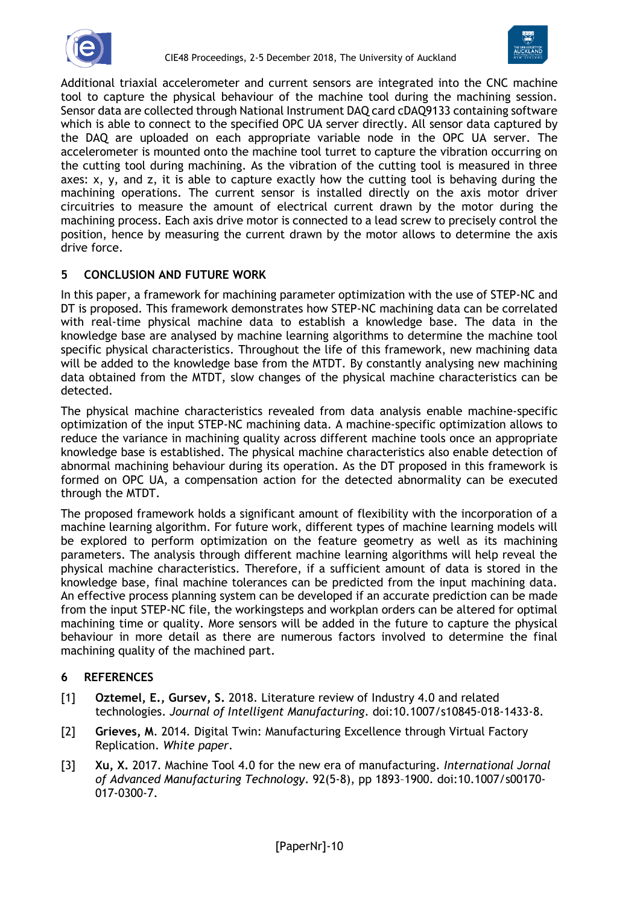



Additional triaxial accelerometer and current sensors are integrated into the CNC machine tool to capture the physical behaviour of the machine tool during the machining session. Sensor data are collected through National Instrument DAQ card cDAQ9133 containing software which is able to connect to the specified OPC UA server directly. All sensor data captured by the DAQ are uploaded on each appropriate variable node in the OPC UA server. The accelerometer is mounted onto the machine tool turret to capture the vibration occurring on the cutting tool during machining. As the vibration of the cutting tool is measured in three axes: x, y, and z, it is able to capture exactly how the cutting tool is behaving during the machining operations. The current sensor is installed directly on the axis motor driver circuitries to measure the amount of electrical current drawn by the motor during the machining process. Each axis drive motor is connected to a lead screw to precisely control the position, hence by measuring the current drawn by the motor allows to determine the axis drive force.

# **5 CONCLUSION AND FUTURE WORK**

In this paper, a framework for machining parameter optimization with the use of STEP-NC and DT is proposed. This framework demonstrates how STEP-NC machining data can be correlated with real-time physical machine data to establish a knowledge base. The data in the knowledge base are analysed by machine learning algorithms to determine the machine tool specific physical characteristics. Throughout the life of this framework, new machining data will be added to the knowledge base from the MTDT. By constantly analysing new machining data obtained from the MTDT, slow changes of the physical machine characteristics can be detected.

The physical machine characteristics revealed from data analysis enable machine-specific optimization of the input STEP-NC machining data. A machine-specific optimization allows to reduce the variance in machining quality across different machine tools once an appropriate knowledge base is established. The physical machine characteristics also enable detection of abnormal machining behaviour during its operation. As the DT proposed in this framework is formed on OPC UA, a compensation action for the detected abnormality can be executed through the MTDT.

The proposed framework holds a significant amount of flexibility with the incorporation of a machine learning algorithm. For future work, different types of machine learning models will be explored to perform optimization on the feature geometry as well as its machining parameters. The analysis through different machine learning algorithms will help reveal the physical machine characteristics. Therefore, if a sufficient amount of data is stored in the knowledge base, final machine tolerances can be predicted from the input machining data. An effective process planning system can be developed if an accurate prediction can be made from the input STEP-NC file, the workingsteps and workplan orders can be altered for optimal machining time or quality. More sensors will be added in the future to capture the physical behaviour in more detail as there are numerous factors involved to determine the final machining quality of the machined part.

# **6 REFERENCES**

- [1] **Oztemel, E., Gursev, S.** 2018. Literature review of Industry 4.0 and related technologies. *Journal of Intelligent Manufacturing*. doi:10.1007/s10845-018-1433-8.
- [2] **Grieves, M**. 2014. Digital Twin: Manufacturing Excellence through Virtual Factory Replication. *White paper*.
- [3] **Xu, X.** 2017. Machine Tool 4.0 for the new era of manufacturing. *International Jornal of Advanced Manufacturing Technology*. 92(5-8), pp 1893–1900. doi:10.1007/s00170- 017-0300-7.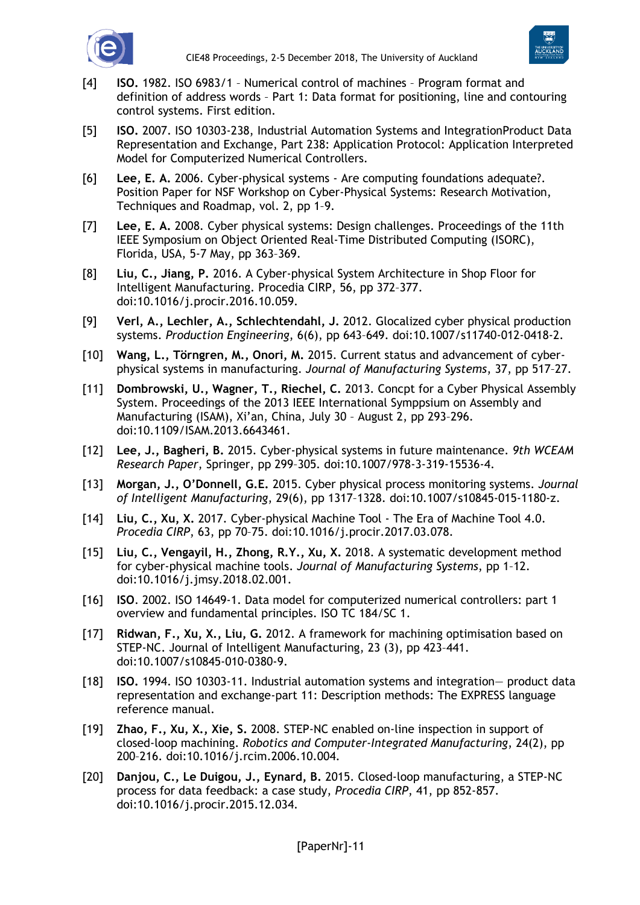



- [4] **ISO.** 1982. ISO 6983/1 Numerical control of machines Program format and definition of address words – Part 1: Data format for positioning, line and contouring control systems. First edition.
- [5] **ISO.** 2007. ISO 10303-238, Industrial Automation Systems and IntegrationProduct Data Representation and Exchange, Part 238: Application Protocol: Application Interpreted Model for Computerized Numerical Controllers.
- [6] **Lee, E. A.** 2006. Cyber-physical systems Are computing foundations adequate?. Position Paper for NSF Workshop on Cyber-Physical Systems: Research Motivation, Techniques and Roadmap, vol. 2, pp 1–9.
- [7] **Lee, E. A.** 2008. Cyber physical systems: Design challenges. Proceedings of the 11th IEEE Symposium on Object Oriented Real-Time Distributed Computing (ISORC), Florida, USA, 5-7 May, pp 363–369.
- [8] **Liu, C., Jiang, P.** 2016. A Cyber-physical System Architecture in Shop Floor for Intelligent Manufacturing. Procedia CIRP, 56, pp 372–377. doi:10.1016/j.procir.2016.10.059.
- [9] **Verl, A., Lechler, A., Schlechtendahl, J.** 2012. Glocalized cyber physical production systems. *Production Engineering*, 6(6), pp 643–649. doi:10.1007/s11740-012-0418-2.
- [10] **Wang, L., Törngren, M., Onori, M.** 2015. Current status and advancement of cyberphysical systems in manufacturing. *Journal of Manufacturing Systems*, 37, pp 517–27.
- [11] **Dombrowski, U., Wagner, T., Riechel, C.** 2013. Concpt for a Cyber Physical Assembly System. Proceedings of the 2013 IEEE International Symppsium on Assembly and Manufacturing (ISAM), Xi'an, China, July 30 – August 2, pp 293–296. doi:10.1109/ISAM.2013.6643461.
- [12] **Lee, J., Bagheri, B.** 2015. Cyber-physical systems in future maintenance. *9th WCEAM Research Paper*, Springer, pp 299–305. doi:10.1007/978-3-319-15536-4.
- [13] **Morgan, J., O'Donnell, G.E.** 2015. Cyber physical process monitoring systems. *Journal of Intelligent Manufacturing*, 29(6), pp 1317–1328. doi:10.1007/s10845-015-1180-z.
- [14] **Liu, C., Xu, X.** 2017. Cyber-physical Machine Tool The Era of Machine Tool 4.0. *Procedia CIRP*, 63, pp 70–75. doi:10.1016/j.procir.2017.03.078.
- [15] **Liu, C., Vengayil, H., Zhong, R.Y., Xu, X.** 2018. A systematic development method for cyber-physical machine tools. *Journal of Manufacturing Systems*, pp 1–12. doi:10.1016/j.jmsy.2018.02.001.
- [16] **ISO**. 2002. ISO 14649-1. Data model for computerized numerical controllers: part 1 overview and fundamental principles. ISO TC 184/SC 1.
- [17] **Ridwan, F., Xu, X., Liu, G.** 2012. A framework for machining optimisation based on STEP-NC. Journal of Intelligent Manufacturing, 23 (3), pp 423–441. doi:10.1007/s10845-010-0380-9.
- [18] **ISO.** 1994. ISO 10303-11. Industrial automation systems and integration— product data representation and exchange-part 11: Description methods: The EXPRESS language reference manual.
- [19] **Zhao, F., Xu, X., Xie, S.** 2008. STEP-NC enabled on-line inspection in support of closed-loop machining. *Robotics and Computer-Integrated Manufacturing*, 24(2), pp 200–216. doi:10.1016/j.rcim.2006.10.004.
- [20] **Danjou, C., Le Duigou, J., Eynard, B.** 2015. Closed-loop manufacturing, a STEP-NC process for data feedback: a case study, *Procedia CIRP*, 41, pp 852-857. doi:10.1016/j.procir.2015.12.034.